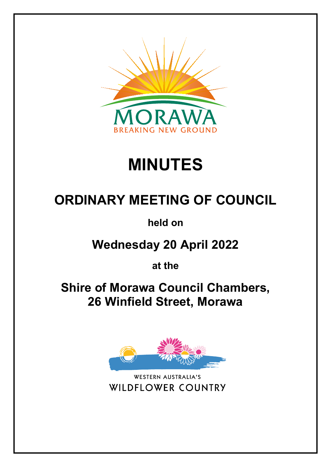

# **MINUTES**

## **ORDINARY MEETING OF COUNCIL**

**held on**

**Wednesday 20 April 2022**

**at the**

**Shire of Morawa Council Chambers, 26 Winfield Street, Morawa**



**WESTERN AUSTRALIA'S WILDFLOWER COUNTRY**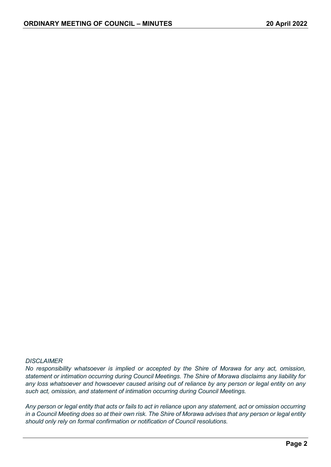#### *DISCLAIMER*

*No responsibility whatsoever is implied or accepted by the Shire of Morawa for any act, omission, statement or intimation occurring during Council Meetings. The Shire of Morawa disclaims any liability for any loss whatsoever and howsoever caused arising out of reliance by any person or legal entity on any such act, omission, and statement of intimation occurring during Council Meetings.*

*Any person or legal entity that acts or fails to act in reliance upon any statement, act or omission occurring in a Council Meeting does so at their own risk. The Shire of Morawa advises that any person or legal entity should only rely on formal confirmation or notification of Council resolutions.*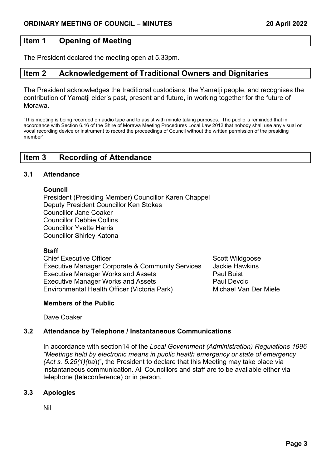## **Item 1 Opening of Meeting**

The President declared the meeting open at 5.33pm.

## **Item 2 Acknowledgement of Traditional Owners and Dignitaries**

The President acknowledges the traditional custodians, the Yamatii people, and recognises the contribution of Yamatji elder's past, present and future, in working together for the future of Morawa.

'This meeting is being recorded on audio tape and to assist with minute taking purposes. The public is reminded that in accordance with Section 6.16 of the Shire of Morawa Meeting Procedures Local Law 2012 that nobody shall use any visual or vocal recording device or instrument to record the proceedings of Council without the written permission of the presiding member'.

## **Item 3 Recording of Attendance**

#### **3.1 Attendance**

#### **Council**

President (Presiding Member) Councillor Karen Chappel Deputy President Councillor Ken Stokes Councillor Jane Coaker Councillor Debbie Collins Councillor Yvette Harris Councillor Shirley Katona

#### **Staff**

Chief Executive Officer Scott Wildgoose Scott Wildgoose Executive Manager Corporate & Community Services Jackie Hawkins Executive Manager Works and Assets **Paul Buist** Paul Buist Executive Manager Works and Assets **Paul Devick Paul Devels**<br>Fovironmental Health Officer (Victoria Park) **Paul Devict Michael Van Der Miele** Environmental Health Officer (Victoria Park)

#### **Members of the Public**

Dave Coaker

## **3.2 Attendance by Telephone / Instantaneous Communications**

In accordance with section14 of the *Local Government (Administration) Regulations 1996 "Meetings held by electronic means in public health emergency or state of emergency (Act s. 5.25(1)(ba*))", the President to declare that this Meeting may take place via instantaneous communication. All Councillors and staff are to be available either via telephone (teleconference) or in person.

#### **3.3 Apologies**

Nil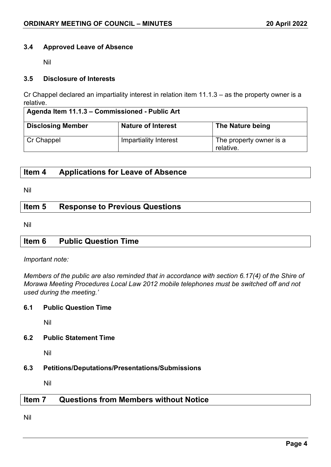#### **3.4 Approved Leave of Absence**

Nil

#### **3.5 Disclosure of Interests**

Cr Chappel declared an impartiality interest in relation item 11.1.3 – as the property owner is a relative.

| Agenda Item 11.1.3 - Commissioned - Public Art |                           |                                      |
|------------------------------------------------|---------------------------|--------------------------------------|
| <b>Disclosing Member</b>                       | <b>Nature of Interest</b> | The Nature being                     |
| Cr Chappel                                     | Impartiality Interest     | The property owner is a<br>relative. |

## **Item 4 Applications for Leave of Absence**

Nil

## **Item 5 Response to Previous Questions**

Nil

## **Item 6 Public Question Time**

#### *Important note:*

*Members of the public are also reminded that in accordance with section 6.17(4) of the Shire of Morawa Meeting Procedures Local Law 2012 mobile telephones must be switched off and not used during the meeting.'*

#### **6.1 Public Question Time**

Nil

#### **6.2 Public Statement Time**

Nil

#### **6.3 Petitions/Deputations/Presentations/Submissions**

Nil

## **Item 7 Questions from Members without Notice**

Nil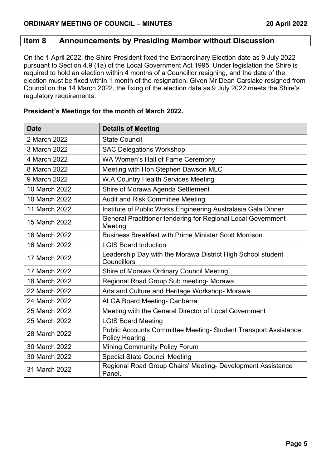## **Item 8 Announcements by Presiding Member without Discussion**

On the 1 April 2022, the Shire President fixed the Extraordinary Election date as 9 July 2022 pursuant to Section 4.9 (1a) of the Local Government Act 1995. Under legislation the Shire is required to hold an election within 4 months of a Councillor resigning, and the date of the election must be fixed within 1 month of the resignation. Given Mr Dean Carslake resigned from Council on the 14 March 2022, the fixing of the election date as 9 July 2022 meets the Shire's regulatory requirements.

| <b>Date</b>   | <b>Details of Meeting</b>                                                                |
|---------------|------------------------------------------------------------------------------------------|
| 2 March 2022  | <b>State Council</b>                                                                     |
| 3 March 2022  | <b>SAC Delegations Workshop</b>                                                          |
| 4 March 2022  | WA Women's Hall of Fame Ceremony                                                         |
| 8 March 2022  | Meeting with Hon Stephen Dawson MLC                                                      |
| 9 March 2022  | W.A Country Health Services Meeting                                                      |
| 10 March 2022 | Shire of Morawa Agenda Settlement                                                        |
| 10 March 2022 | <b>Audit and Risk Committee Meeting</b>                                                  |
| 11 March 2022 | Institute of Public Works Engineering Australasia Gala Dinner                            |
| 15 March 2022 | General Practitioner tendering for Regional Local Government<br>Meeting                  |
| 16 March 2022 | <b>Business Breakfast with Prime Minister Scott Morrison</b>                             |
| 16 March 2022 | <b>LGIS Board Induction</b>                                                              |
| 17 March 2022 | Leadership Day with the Morawa District High School student<br>Councillors               |
| 17 March 2022 | Shire of Morawa Ordinary Council Meeting                                                 |
| 18 March 2022 | Regional Road Group Sub meeting- Morawa                                                  |
| 22 March 2022 | Arts and Culture and Heritage Workshop- Morawa                                           |
| 24 March 2022 | <b>ALGA Board Meeting- Canberra</b>                                                      |
| 25 March 2022 | Meeting with the General Director of Local Government                                    |
| 25 March 2022 | <b>LGIS Board Meeting</b>                                                                |
| 28 March 2022 | Public Accounts Committee Meeting- Student Transport Assistance<br><b>Policy Hearing</b> |
| 30 March 2022 | Mining Community Policy Forum                                                            |
| 30 March 2022 | <b>Special State Council Meeting</b>                                                     |
| 31 March 2022 | Regional Road Group Chairs' Meeting- Development Assistance<br>Panel.                    |

#### **President's Meetings for the month of March 2022.**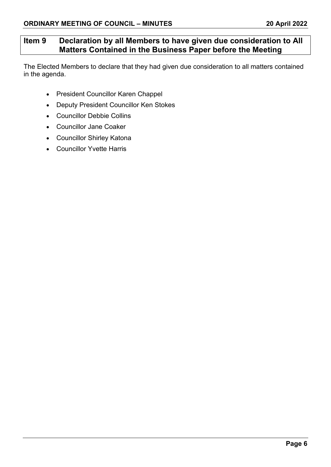## **Item 9 Declaration by all Members to have given due consideration to All Matters Contained in the Business Paper before the Meeting**

The Elected Members to declare that they had given due consideration to all matters contained in the agenda.

- President Councillor Karen Chappel
- Deputy President Councillor Ken Stokes
- Councillor Debbie Collins
- Councillor Jane Coaker
- Councillor Shirley Katona
- Councillor Yvette Harris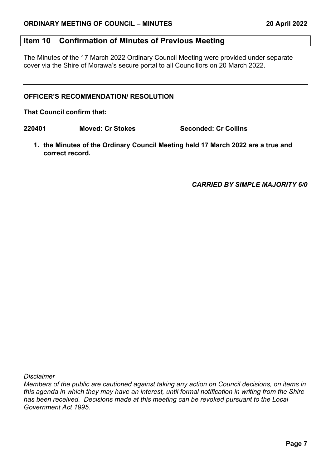## **Item 10 Confirmation of Minutes of Previous Meeting**

The Minutes of the 17 March 2022 Ordinary Council Meeting were provided under separate cover via the Shire of Morawa's secure portal to all Councillors on 20 March 2022.

#### **OFFICER'S RECOMMENDATION/ RESOLUTION**

**That Council confirm that:**

**220401 Moved: Cr Stokes Seconded: Cr Collins**

**1. the Minutes of the Ordinary Council Meeting held 17 March 2022 are a true and correct record.**

*CARRIED BY SIMPLE MAJORITY 6/0*

*Disclaimer*

*Members of the public are cautioned against taking any action on Council decisions, on items in this agenda in which they may have an interest, until formal notification in writing from the Shire has been received. Decisions made at this meeting can be revoked pursuant to the Local Government Act 1995.*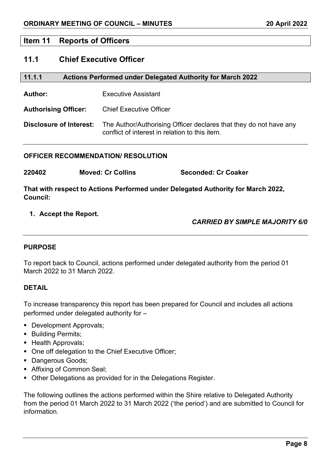#### **Item 11 Reports of Officers**

## **11.1 Chief Executive Officer**

| 11.1.1<br><b>Actions Performed under Delegated Authority for March 2022</b> |                                                                                                                     |  |
|-----------------------------------------------------------------------------|---------------------------------------------------------------------------------------------------------------------|--|
| Author:                                                                     | <b>Executive Assistant</b>                                                                                          |  |
| <b>Authorising Officer:</b>                                                 | <b>Chief Executive Officer</b>                                                                                      |  |
| Disclosure of Interest:                                                     | The Author/Authorising Officer declares that they do not have any<br>conflict of interest in relation to this item. |  |

#### **OFFICER RECOMMENDATION/ RESOLUTION**

| 220402 | <b>Moved: Cr Collins</b> | <b>Seconded: Cr Coaker</b> |
|--------|--------------------------|----------------------------|
|--------|--------------------------|----------------------------|

**That with respect to Actions Performed under Delegated Authority for March 2022, Council:**

#### **1. Accept the Report.**

## *CARRIED BY SIMPLE MAJORITY 6/0*

#### **PURPOSE**

To report back to Council, actions performed under delegated authority from the period 01 March 2022 to 31 March 2022.

#### **DETAIL**

To increase transparency this report has been prepared for Council and includes all actions performed under delegated authority for –

- **Development Approvals;**
- **Building Permits;**
- **Health Approvals;**
- One off delegation to the Chief Executive Officer;
- **Dangerous Goods;**
- **Affixing of Common Seal;**
- Other Delegations as provided for in the Delegations Register.

The following outlines the actions performed within the Shire relative to Delegated Authority from the period 01 March 2022 to 31 March 2022 ('the period') and are submitted to Council for information.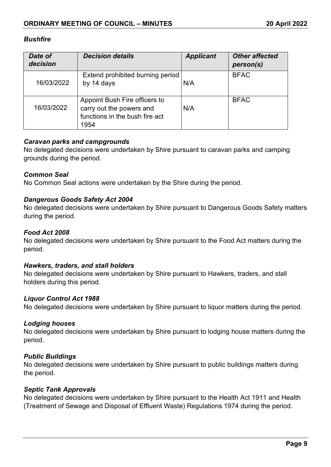#### *Bushfire*

| Date of<br>decision | <b>Decision details</b>                                                                             | <b>Applicant</b> | <b>Other affected</b><br>person(s) |
|---------------------|-----------------------------------------------------------------------------------------------------|------------------|------------------------------------|
| 16/03/2022          | Extend prohibited burning period<br>by 14 days                                                      | N/A              | <b>BFAC</b>                        |
| 16/03/2022          | Appoint Bush Fire officers to<br>carry out the powers and<br>functions in the bush fire act<br>1954 | N/A              | <b>BFAC</b>                        |

#### *Caravan parks and campgrounds*

No delegated decisions were undertaken by Shire pursuant to caravan parks and camping grounds during the period.

#### *Common Seal*

No Common Seal actions were undertaken by the Shire during the period.

#### *Dangerous Goods Safety Act 2004*

No delegated decisions were undertaken by Shire pursuant to Dangerous Goods Safety matters during the period.

#### *Food Act 2008*

No delegated decisions were undertaken by Shire pursuant to the Food Act matters during the period.

#### *Hawkers, traders, and stall holders*

No delegated decisions were undertaken by Shire pursuant to Hawkers, traders, and stall holders during this period.

#### *Liquor Control Act 1988*

No delegated decisions were undertaken by Shire pursuant to liquor matters during the period.

#### *Lodging houses*

No delegated decisions were undertaken by Shire pursuant to lodging house matters during the period.

#### *Public Buildings*

No delegated decisions were undertaken by Shire pursuant to public buildings matters during the period.

#### *Septic Tank Approvals*

No delegated decisions were undertaken by Shire pursuant to the Health Act 1911 and Health (Treatment of Sewage and Disposal of Effluent Waste) Regulations 1974 during the period.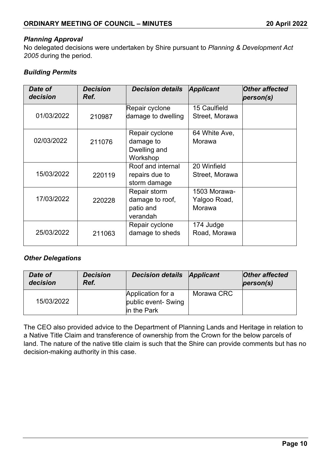#### *Planning Approval*

No delegated decisions were undertaken by Shire pursuant to *Planning & Development Act 2005* during the period.

## *Building Permits*

| Date of<br>decision | <b>Decision</b><br>Ref. | <b>Decision details</b> | <b>Applicant</b> | <b>Other affected</b><br>person(s) |
|---------------------|-------------------------|-------------------------|------------------|------------------------------------|
|                     |                         | Repair cyclone          | 15 Caulfield     |                                    |
| 01/03/2022          | 210987                  | damage to dwelling      | Street, Morawa   |                                    |
|                     |                         | Repair cyclone          | 64 White Ave,    |                                    |
| 02/03/2022          | 211076                  | damage to               | Morawa           |                                    |
|                     |                         | Dwelling and            |                  |                                    |
|                     |                         | Workshop                |                  |                                    |
|                     |                         | Roof and internal       | 20 Winfield      |                                    |
| 15/03/2022          | 220119                  | repairs due to          | Street, Morawa   |                                    |
|                     |                         | storm damage            |                  |                                    |
|                     |                         | Repair storm            | 1503 Morawa-     |                                    |
| 17/03/2022          | 220228                  | damage to roof,         | Yalgoo Road,     |                                    |
|                     |                         | patio and               | Morawa           |                                    |
|                     |                         | verandah                |                  |                                    |
|                     |                         | Repair cyclone          | 174 Judge        |                                    |
| 25/03/2022          | 211063                  | damage to sheds         | Road, Morawa     |                                    |

#### *Other Delegations*

| Date of<br>decision | <b>Decision</b><br>Ref. | <b>Decision details Applicant</b>                        |            | <b>Other affected</b><br>person(s) |
|---------------------|-------------------------|----------------------------------------------------------|------------|------------------------------------|
| 15/03/2022          |                         | Application for a<br>public event- Swing<br>lin the Park | Morawa CRC |                                    |

The CEO also provided advice to the Department of Planning Lands and Heritage in relation to a Native Title Claim and transference of ownership from the Crown for the below parcels of land. The nature of the native title claim is such that the Shire can provide comments but has no decision-making authority in this case.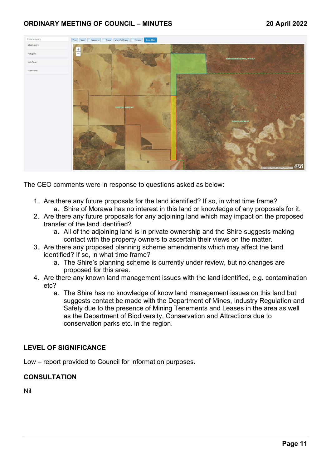

The CEO comments were in response to questions asked as below:

- 1. Are there any future proposals for the land identified? If so, in what time frame? a. Shire of Morawa has no interest in this land or knowledge of any proposals for it.
- 2. Are there any future proposals for any adjoining land which may impact on the proposed transfer of the land identified?
	- a. All of the adjoining land is in private ownership and the Shire suggests making contact with the property owners to ascertain their views on the matter.
- 3. Are there any proposed planning scheme amendments which may affect the land identified? If so, in what time frame?
	- a. The Shire's planning scheme is currently under review, but no changes are proposed for this area.
- 4. Are there any known land management issues with the land identified, e.g. contamination etc?
	- a. The Shire has no knowledge of know land management issues on this land but suggests contact be made with the Department of Mines, Industry Regulation and Safety due to the presence of Mining Tenements and Leases in the area as well as the Department of Biodiversity, Conservation and Attractions due to conservation parks etc. in the region.

## **LEVEL OF SIGNIFICANCE**

Low – report provided to Council for information purposes.

#### **CONSULTATION**

Nil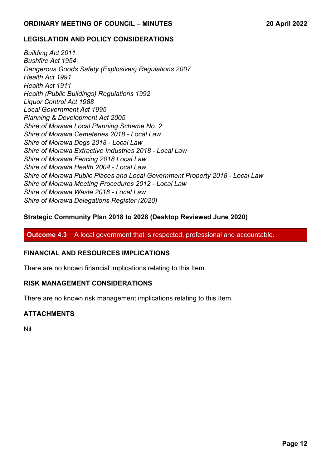#### **LEGISLATION AND POLICY CONSIDERATIONS**

*Building Act 2011 Bushfire Act 1954 Dangerous Goods Safety (Explosives) Regulations 2007 Health Act 1991 Health Act 1911 Health (Public Buildings) Regulations 1992 Liquor Control Act 1988 Local Government Act 1995 Planning & Development Act 2005 Shire of Morawa Local Planning Scheme No. 2 Shire of Morawa Cemeteries 2018 - Local Law Shire of Morawa Dogs 2018 - Local Law Shire of Morawa Extractive Industries 2018 - Local Law Shire of Morawa Fencing 2018 Local Law Shire of Morawa Health 2004 - Local Law Shire of Morawa Public Places and Local Government Property 2018 - Local Law Shire of Morawa Meeting Procedures 2012 - Local Law Shire of Morawa Waste 2018 - Local Law Shire of Morawa Delegations Register (2020)*

#### **Strategic Community Plan 2018 to 2028 (Desktop Reviewed June 2020)**

**Outcome 4.3** A local government that is respected, professional and accountable.

#### **FINANCIAL AND RESOURCES IMPLICATIONS**

There are no known financial implications relating to this Item.

#### **RISK MANAGEMENT CONSIDERATIONS**

There are no known risk management implications relating to this Item.

## **ATTACHMENTS**

Nil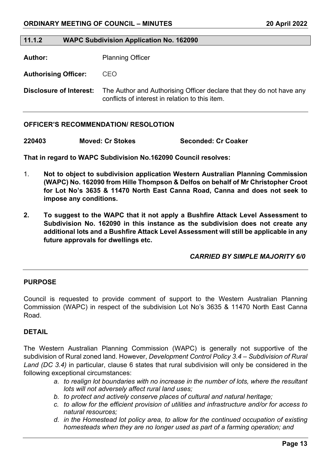#### **11.1.2 WAPC Subdivision Application No. 162090**

**Author:** Planning Officer

**Authorising Officer:** CEO

**Disclosure of Interest:** The Author and Authorising Officer declare that they do not have any conflicts of interest in relation to this item.

#### **OFFICER'S RECOMMENDATION/ RESOLOTION**

**220403 Moved: Cr Stokes Seconded: Cr Coaker** 

**That in regard to WAPC Subdivision No.162090 Council resolves:** 

- 1. **Not to object to subdivision application Western Australian Planning Commission (WAPC) No. 162090 from Hille Thompson & Delfos on behalf of Mr Christopher Croot for Lot No's 3635 & 11470 North East Canna Road, Canna and does not seek to impose any conditions.**
- **2. To suggest to the WAPC that it not apply a Bushfire Attack Level Assessment to Subdivision No. 162090 in this instance as the subdivision does not create any additional lots and a Bushfire Attack Level Assessment will still be applicable in any future approvals for dwellings etc.**

 *CARRIED BY SIMPLE MAJORITY 6/0*

#### **PURPOSE**

Council is requested to provide comment of support to the Western Australian Planning Commission (WAPC) in respect of the subdivision Lot No's 3635 & 11470 North East Canna Road.

#### **DETAIL**

The Western Australian Planning Commission (WAPC) is generally not supportive of the subdivision of Rural zoned land. However, *Development Control Policy 3.4 – Subdivision of Rural Land (DC 3.4)* in particular, clause 6 states that rural subdivision will only be considered in the following exceptional circumstances:

- *a. to realign lot boundaries with no increase in the number of lots, where the resultant lots will not adversely affect rural land uses;*
- *b. to protect and actively conserve places of cultural and natural heritage;*
- *c. to allow for the efficient provision of utilities and infrastructure and/or for access to natural resources;*
- *d. in the Homestead lot policy area, to allow for the continued occupation of existing homesteads when they are no longer used as part of a farming operation; and*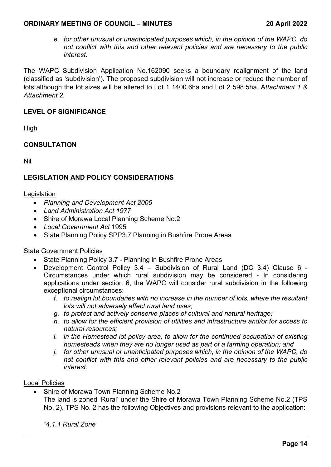*e. for other unusual or unanticipated purposes which, in the opinion of the WAPC, do not conflict with this and other relevant policies and are necessary to the public interest.*

The WAPC Subdivision Application No.162090 seeks a boundary realignment of the land (classified as 'subdivision'). The proposed subdivision will not increase or reduce the number of lots although the lot sizes will be altered to Lot 1 1400.6ha and Lot 2 598.5ha. A*ttachment 1 & Attachment 2.* 

## **LEVEL OF SIGNIFICANCE**

High

#### **CONSULTATION**

Nil

#### **LEGISLATION AND POLICY CONSIDERATIONS**

#### Legislation

- *Planning and Development Act 2005*
- *Land Administration Act 1977*
- Shire of Morawa Local Planning Scheme No.2
- *Local Government Act* 1995
- State Planning Policy SPP3.7 Planning in Bushfire Prone Areas

#### State Government Policies

- State Planning Policy 3.7 Planning in Bushfire Prone Areas
- Development Control Policy 3.4 Subdivision of Rural Land (DC 3.4) Clause 6 Circumstances under which rural subdivision may be considered - In considering applications under section 6, the WAPC will consider rural subdivision in the following exceptional circumstances:
	- *f. to realign lot boundaries with no increase in the number of lots, where the resultant lots will not adversely affect rural land uses;*
	- *g. to protect and actively conserve places of cultural and natural heritage;*
	- *h. to allow for the efficient provision of utilities and infrastructure and/or for access to natural resources;*
	- *i. in the Homestead lot policy area, to allow for the continued occupation of existing homesteads when they are no longer used as part of a farming operation; and*
	- *j. for other unusual or unanticipated purposes which, in the opinion of the WAPC, do not conflict with this and other relevant policies and are necessary to the public interest.*

#### Local Policies

• Shire of Morawa Town Planning Scheme No.2 The land is zoned 'Rural' under the Shire of Morawa Town Planning Scheme No.2 (TPS No. 2). TPS No. 2 has the following Objectives and provisions relevant to the application:

*"4.1.1 Rural Zone*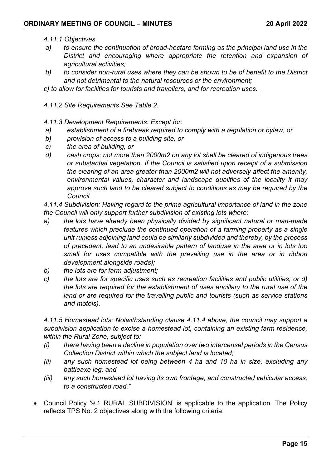#### *4.11.1 Objectives*

- *a) to ensure the continuation of broad-hectare farming as the principal land use in the District and encouraging where appropriate the retention and expansion of agricultural activities;*
- *b) to consider non-rural uses where they can be shown to be of benefit to the District and not detrimental to the natural resources or the environment;*
- *c) to allow for facilities for tourists and travellers, and for recreation uses.*
- *4.11.2 Site Requirements See Table 2.*
- *4.11.3 Development Requirements: Except for:*
- *a) establishment of a firebreak required to comply with a regulation or bylaw, or*
- *b) provision of access to a building site, or*
- *c) the area of building, or*
- *d) cash crops; not more than 2000m2 on any lot shall be cleared of indigenous trees or substantial vegetation. If the Council is satisfied upon receipt of a submission the clearing of an area greater than 2000m2 will not adversely affect the amenity, environmental values, character and landscape qualities of the locality it may approve such land to be cleared subject to conditions as may be required by the Council.*

*4.11.4 Subdivision: Having regard to the prime agricultural importance of land in the zone the Council will only support further subdivision of existing lots where:*

- *a) the lots have already been physically divided by significant natural or man-made features which preclude the continued operation of a farming property as a single unit (unless adjoining land could be similarly subdivided and thereby, by the process of precedent, lead to an undesirable pattern of landuse in the area or in lots too small for uses compatible with the prevailing use in the area or in ribbon development alongside roads);*
- *b) the lots are for farm adjustment;*
- *c) the lots are for specific uses such as recreation facilities and public utilities; or d) the lots are required for the establishment of uses ancillary to the rural use of the land or are required for the travelling public and tourists (such as service stations and motels).*

*4.11.5 Homestead lots: Notwithstanding clause 4.11.4 above, the council may support a subdivision application to excise a homestead lot, containing an existing farm residence, within the Rural Zone, subject to:*

- *(i) there having been a decline in population over two intercensal periods in the Census Collection District within which the subject land is located;*
- *(ii) any such homestead lot being between 4 ha and 10 ha in size, excluding any battleaxe leg; and*
- *(iii) any such homestead lot having its own frontage, and constructed vehicular access, to a constructed road."*
- Council Policy '9.1 RURAL SUBDIVISION' is applicable to the application. The Policy reflects TPS No. 2 objectives along with the following criteria: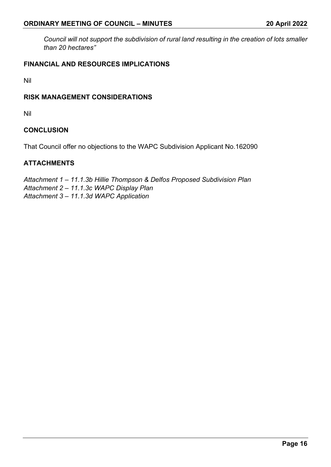*Council will not support the subdivision of rural land resulting in the creation of lots smaller than 20 hectares"*

## **FINANCIAL AND RESOURCES IMPLICATIONS**

Nil

#### **RISK MANAGEMENT CONSIDERATIONS**

Nil

#### **CONCLUSION**

That Council offer no objections to the WAPC Subdivision Applicant No.162090

#### **ATTACHMENTS**

*Attachment 1 – 11.1.3b Hillie Thompson & Delfos Proposed Subdivision Plan Attachment 2 – 11.1.3c WAPC Display Plan Attachment 3 – 11.1.3d WAPC Application*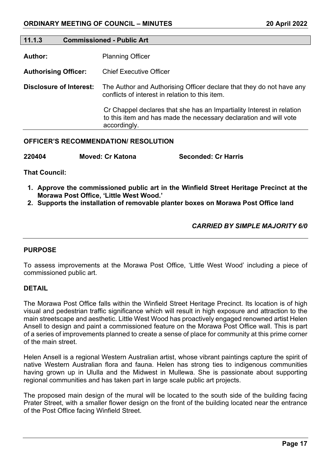#### **11.1.3 Commissioned - Public Art**

**Author:** Planning Officer

**Authorising Officer:** Chief Executive Officer

**Disclosure of Interest:** The Author and Authorising Officer declare that they do not have any conflicts of interest in relation to this item.

> Cr Chappel declares that she has an Impartiality Interest in relation to this item and has made the necessary declaration and will vote accordingly.

#### **OFFICER'S RECOMMENDATION/ RESOLUTION**

**220404 Moved: Cr Katona Seconded: Cr Harris**

**That Council:** 

- **1. Approve the commissioned public art in the Winfield Street Heritage Precinct at the Morawa Post Office, 'Little West Wood.'**
- **2. Supports the installation of removable planter boxes on Morawa Post Office land**

#### *CARRIED BY SIMPLE MAJORITY 6/0*

#### **PURPOSE**

To assess improvements at the Morawa Post Office, 'Little West Wood' including a piece of commissioned public art.

#### **DETAIL**

The Morawa Post Office falls within the Winfield Street Heritage Precinct. Its location is of high visual and pedestrian traffic significance which will result in high exposure and attraction to the main streetscape and aesthetic. Little West Wood has proactively engaged renowned artist Helen Ansell to design and paint a commissioned feature on the Morawa Post Office wall. This is part of a series of improvements planned to create a sense of place for community at this prime corner of the main street.

Helen Ansell is a regional Western Australian artist, whose vibrant paintings capture the spirit of native Western Australian flora and fauna. Helen has strong ties to indigenous communities having grown up in Ululla and the Midwest in Mullewa. She is passionate about supporting regional communities and has taken part in large scale public art projects.

The proposed main design of the mural will be located to the south side of the building facing Prater Street, with a smaller flower design on the front of the building located near the entrance of the Post Office facing Winfield Street.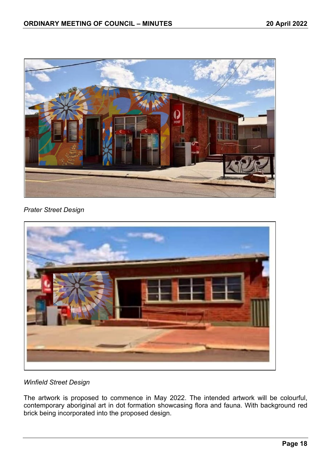

## *Prater Street Design*



## *Winfield Street Design*

The artwork is proposed to commence in May 2022. The intended artwork will be colourful, contemporary aboriginal art in dot formation showcasing flora and fauna. With background red brick being incorporated into the proposed design.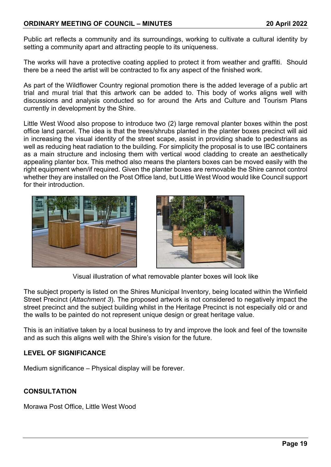## **ORDINARY MEETING OF COUNCIL – MINUTES 20 April 2022**

Public art reflects a community and its surroundings, working to cultivate a cultural identity by setting a community apart and attracting people to its uniqueness.

The works will have a protective coating applied to protect it from weather and graffiti. Should there be a need the artist will be contracted to fix any aspect of the finished work.

As part of the Wildflower Country regional promotion there is the added leverage of a public art trial and mural trial that this artwork can be added to. This body of works aligns well with discussions and analysis conducted so for around the Arts and Culture and Tourism Plans currently in development by the Shire.

Little West Wood also propose to introduce two (2) large removal planter boxes within the post office land parcel. The idea is that the trees/shrubs planted in the planter boxes precinct will aid in increasing the visual identity of the street scape, assist in providing shade to pedestrians as well as reducing heat radiation to the building. For simplicity the proposal is to use IBC containers as a main structure and inclosing them with vertical wood cladding to create an aesthetically appealing planter box. This method also means the planters boxes can be moved easily with the right equipment when/if required. Given the planter boxes are removable the Shire cannot control whether they are installed on the Post Office land, but Little West Wood would like Council support for their introduction.





Visual illustration of what removable planter boxes will look like

The subject property is listed on the Shires Municipal Inventory, being located within the Winfield Street Precinct (*Attachment 3*). The proposed artwork is not considered to negatively impact the street precinct and the subject building whilst in the Heritage Precinct is not especially old or and the walls to be painted do not represent unique design or great heritage value.

This is an initiative taken by a local business to try and improve the look and feel of the townsite and as such this aligns well with the Shire's vision for the future.

## **LEVEL OF SIGNIFICANCE**

Medium significance – Physical display will be forever.

## **CONSULTATION**

Morawa Post Office, Little West Wood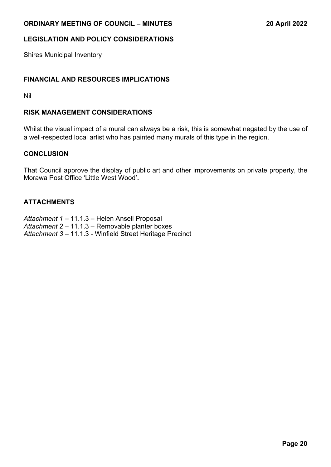## **LEGISLATION AND POLICY CONSIDERATIONS**

Shires Municipal Inventory

#### **FINANCIAL AND RESOURCES IMPLICATIONS**

Nil

#### **RISK MANAGEMENT CONSIDERATIONS**

Whilst the visual impact of a mural can always be a risk, this is somewhat negated by the use of a well-respected local artist who has painted many murals of this type in the region.

#### **CONCLUSION**

That Council approve the display of public art and other improvements on private property, the Morawa Post Office 'Little West Wood'**.**

#### **ATTACHMENTS**

*Attachment 1 –* 11.1.3 – Helen Ansell Proposal *Attachment 2 –* 11.1.3 – Removable planter boxes *Attachment 3 –* 11.1.3 - Winfield Street Heritage Precinct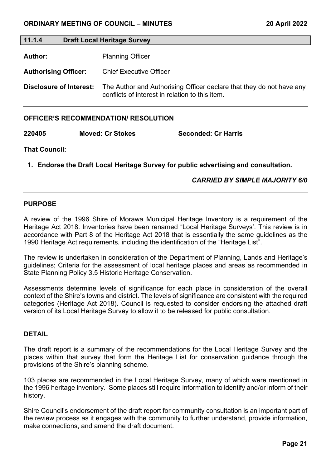#### **11.1.4 Draft Local Heritage Survey**

**Author:** Planning Officer

**Authorising Officer:** Chief Executive Officer

**Disclosure of Interest:** The Author and Authorising Officer declare that they do not have any conflicts of interest in relation to this item.

#### **OFFICER'S RECOMMENDATION/ RESOLUTION**

**220405 Moved: Cr Stokes Seconded: Cr Harris**

**That Council:** 

**1. Endorse the Draft Local Heritage Survey for public advertising and consultation.**

#### *CARRIED BY SIMPLE MAJORITY 6/0*

#### **PURPOSE**

A review of the 1996 Shire of Morawa Municipal Heritage Inventory is a requirement of the Heritage Act 2018. Inventories have been renamed "Local Heritage Surveys'. This review is in accordance with Part 8 of the Heritage Act 2018 that is essentially the same guidelines as the 1990 Heritage Act requirements, including the identification of the "Heritage List".

The review is undertaken in consideration of the Department of Planning, Lands and Heritage's guidelines; Criteria for the assessment of local heritage places and areas as recommended in State Planning Policy 3.5 Historic Heritage Conservation.

Assessments determine levels of significance for each place in consideration of the overall context of the Shire's towns and district. The levels of significance are consistent with the required categories (Heritage Act 2018). Council is requested to consider endorsing the attached draft version of its Local Heritage Survey to allow it to be released for public consultation.

#### **DETAIL**

The draft report is a summary of the recommendations for the Local Heritage Survey and the places within that survey that form the Heritage List for conservation guidance through the provisions of the Shire's planning scheme.

103 places are recommended in the Local Heritage Survey, many of which were mentioned in the 1996 heritage inventory. Some places still require information to identify and/or inform of their history.

Shire Council's endorsement of the draft report for community consultation is an important part of the review process as it engages with the community to further understand, provide information, make connections, and amend the draft document.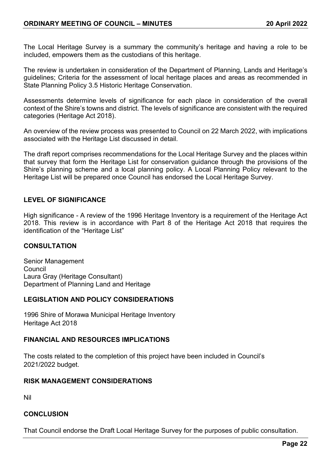The Local Heritage Survey is a summary the community's heritage and having a role to be included, empowers them as the custodians of this heritage.

The review is undertaken in consideration of the Department of Planning, Lands and Heritage's guidelines; Criteria for the assessment of local heritage places and areas as recommended in State Planning Policy 3.5 Historic Heritage Conservation.

Assessments determine levels of significance for each place in consideration of the overall context of the Shire's towns and district. The levels of significance are consistent with the required categories (Heritage Act 2018).

An overview of the review process was presented to Council on 22 March 2022, with implications associated with the Heritage List discussed in detail.

The draft report comprises recommendations for the Local Heritage Survey and the places within that survey that form the Heritage List for conservation guidance through the provisions of the Shire's planning scheme and a local planning policy. A Local Planning Policy relevant to the Heritage List will be prepared once Council has endorsed the Local Heritage Survey.

#### **LEVEL OF SIGNIFICANCE**

High significance - A review of the 1996 Heritage Inventory is a requirement of the Heritage Act 2018. This review is in accordance with Part 8 of the Heritage Act 2018 that requires the identification of the "Heritage List"

#### **CONSULTATION**

Senior Management Council Laura Gray (Heritage Consultant) Department of Planning Land and Heritage

#### **LEGISLATION AND POLICY CONSIDERATIONS**

1996 Shire of Morawa Municipal Heritage Inventory Heritage Act 2018

#### **FINANCIAL AND RESOURCES IMPLICATIONS**

The costs related to the completion of this project have been included in Council's 2021/2022 budget.

#### **RISK MANAGEMENT CONSIDERATIONS**

Nil

#### **CONCLUSION**

That Council endorse the Draft Local Heritage Survey for the purposes of public consultation.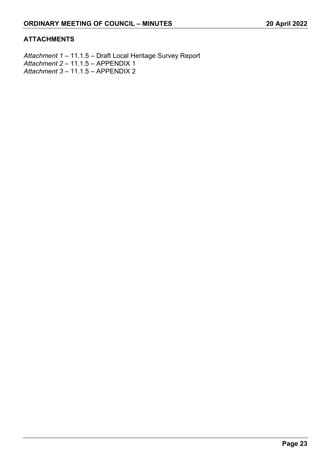## **ATTACHMENTS**

*Attachment 1 –* 11.1.5 – Draft Local Heritage Survey Report *Attachment 2 –* 11.1.5 – APPENDIX 1 *Attachment 3 –* 11.1.5 – APPENDIX 2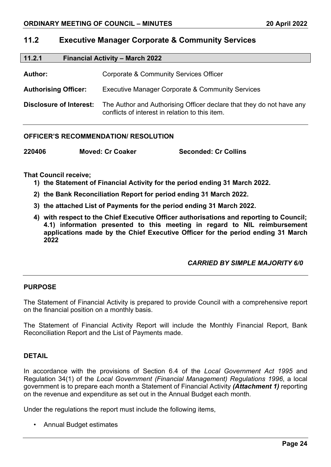## **11.2 Executive Manager Corporate & Community Services**

| 11.2.1                         | <b>Financial Activity - March 2022</b>                                                                                  |  |
|--------------------------------|-------------------------------------------------------------------------------------------------------------------------|--|
| Author:                        | <b>Corporate &amp; Community Services Officer</b>                                                                       |  |
| <b>Authorising Officer:</b>    | <b>Executive Manager Corporate &amp; Community Services</b>                                                             |  |
| <b>Disclosure of Interest:</b> | The Author and Authorising Officer declare that they do not have any<br>conflicts of interest in relation to this item. |  |

#### **OFFICER'S RECOMMENDATION/ RESOLUTION**

| 220406 | <b>Moved: Cr Coaker</b> | <b>Seconded: Cr Collins</b> |
|--------|-------------------------|-----------------------------|
|--------|-------------------------|-----------------------------|

#### **That Council receive;**

- **1) the Statement of Financial Activity for the period ending 31 March 2022.**
- **2) the Bank Reconciliation Report for period ending 31 March 2022.**
- **3) the attached List of Payments for the period ending 31 March 2022.**
- **4) with respect to the Chief Executive Officer authorisations and reporting to Council; 4.1) information presented to this meeting in regard to NIL reimbursement applications made by the Chief Executive Officer for the period ending 31 March 2022**

#### *CARRIED BY SIMPLE MAJORITY 6/0*

#### **PURPOSE**

The Statement of Financial Activity is prepared to provide Council with a comprehensive report on the financial position on a monthly basis.

The Statement of Financial Activity Report will include the Monthly Financial Report, Bank Reconciliation Report and the List of Payments made.

#### **DETAIL**

In accordance with the provisions of Section 6.4 of the *Local Government Act 1995* and Regulation 34(1) of the *Local Government (Financial Management) Regulations 1996*, a local government is to prepare each month a Statement of Financial Activity *(Attachment 1)* reporting on the revenue and expenditure as set out in the Annual Budget each month.

Under the regulations the report must include the following items,

• Annual Budget estimates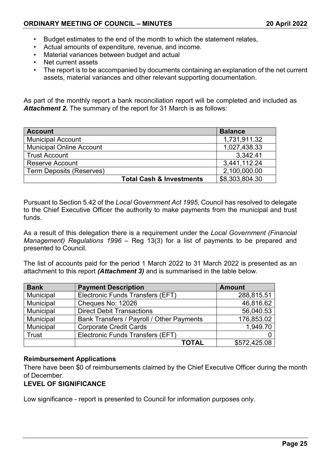- Budget estimates to the end of the month to which the statement relates,
- Actual amounts of expenditure, revenue, and income.
- Material variances between budget and actual
- Net current assets
- The report is to be accompanied by documents containing an explanation of the net current assets, material variances and other relevant supporting documentation.

As part of the monthly report a bank reconciliation report will be completed and included as *Attachment 2.* The summary of the report for 31 March is as follows:

| <b>Account</b>                      | <b>Balance</b> |
|-------------------------------------|----------------|
| <b>Municipal Account</b>            | 1,731,911.32   |
| <b>Municipal Online Account</b>     | 1,027,438.33   |
| <b>Trust Account</b>                | 3.342.41       |
| <b>Reserve Account</b>              | 3,441,112.24   |
| <b>Term Deposits (Reserves)</b>     | 2,100,000.00   |
| <b>Total Cash &amp; Investments</b> | \$8,303,804.30 |

Pursuant to Section 5.42 of the *Local Government Act 1995*, Council has resolved to delegate to the Chief Executive Officer the authority to make payments from the municipal and trust funds.

As a result of this delegation there is a requirement under the *Local Government (Financial Management) Regulations 1996* – Reg 13(3) for a list of payments to be prepared and presented to Council.

The list of accounts paid for the period 1 March 2022 to 31 March 2022 is presented as an attachment to this report *(Attachment 3)* and is summarised in the table below.

| <b>Bank</b> | <b>Payment Description</b>                | <b>Amount</b> |
|-------------|-------------------------------------------|---------------|
| Municipal   | Electronic Funds Transfers (EFT)          | 288,815.51    |
| Municipal   | Cheques No: 12026                         | 46,816.62     |
| Municipal   | <b>Direct Debit Transactions</b>          | 56,040.53     |
| Municipal   | Bank Transfers / Payroll / Other Payments | 176,853.02    |
| Municipal   | <b>Corporate Credit Cards</b>             | 1,949.70      |
| Trust       | Electronic Funds Transfers (EFT)          |               |
|             | <b>TOTAL</b>                              | \$572,425.08  |

## **Reimbursement Applications**

There have been \$0 of reimbursements claimed by the Chief Executive Officer during the month of December.

## **LEVEL OF SIGNIFICANCE**

Low significance - report is presented to Council for information purposes only.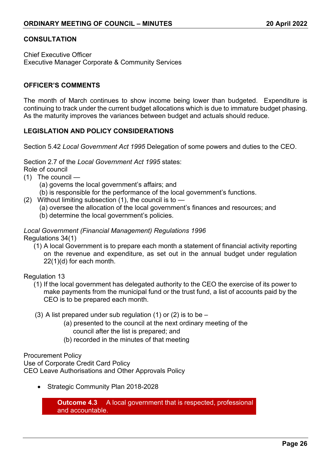#### **CONSULTATION**

Chief Executive Officer Executive Manager Corporate & Community Services

#### **OFFICER'S COMMENTS**

The month of March continues to show income being lower than budgeted. Expenditure is continuing to track under the current budget allocations which is due to immature budget phasing. As the maturity improves the variances between budget and actuals should reduce.

#### **LEGISLATION AND POLICY CONSIDERATIONS**

Section 5.42 *Local Government Act 1995* Delegation of some powers and duties to the CEO.

Section 2.7 of the *Local Government Act 1995* states:

Role of council

- (1) The council
	- (a) governs the local government's affairs; and
	- (b) is responsible for the performance of the local government's functions.
- (2) Without limiting subsection (1), the council is to
	- (a) oversee the allocation of the local government's finances and resources; and
	- (b) determine the local government's policies.

## *Local Government (Financial Management) Regulations 1996*

Regulations 34(1)

(1) A local Government is to prepare each month a statement of financial activity reporting on the revenue and expenditure, as set out in the annual budget under regulation 22(1)(d) for each month.

#### Regulation 13

- (1) If the local government has delegated authority to the CEO the exercise of its power to make payments from the municipal fund or the trust fund, a list of accounts paid by the CEO is to be prepared each month.
- (3) A list prepared under sub regulation (1) or (2) is to be  $-$ 
	- (a) presented to the council at the next ordinary meeting of the council after the list is prepared; and
	- (b) recorded in the minutes of that meeting

#### Procurement Policy

Use of Corporate Credit Card Policy CEO Leave Authorisations and Other Approvals Policy

• Strategic Community Plan 2018-2028

**Outcome 4.3** A local government that is respected, professional and accountable.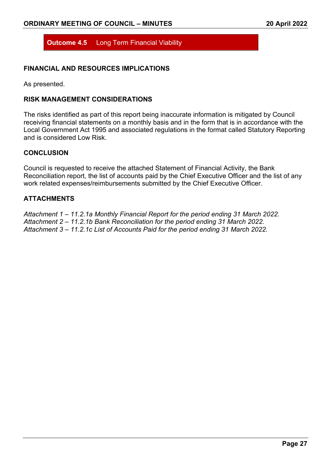**Outcome 4.5** Long Term Financial Viability

#### **FINANCIAL AND RESOURCES IMPLICATIONS**

As presented.

#### **RISK MANAGEMENT CONSIDERATIONS**

The risks identified as part of this report being inaccurate information is mitigated by Council receiving financial statements on a monthly basis and in the form that is in accordance with the Local Government Act 1995 and associated regulations in the format called Statutory Reporting and is considered Low Risk

#### **CONCLUSION**

Council is requested to receive the attached Statement of Financial Activity, the Bank Reconciliation report, the list of accounts paid by the Chief Executive Officer and the list of any work related expenses/reimbursements submitted by the Chief Executive Officer.

#### **ATTACHMENTS**

*Attachment 1 – 11.2.1a Monthly Financial Report for the period ending 31 March 2022. Attachment 2 – 11.2.1b Bank Reconciliation for the period ending 31 March 2022. Attachment 3 – 11.2.1c List of Accounts Paid for the period ending 31 March 2022.*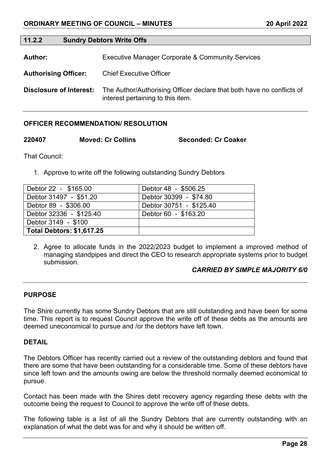| 11.2.2 | <b>Sundry Debtors Write Offs</b> |
|--------|----------------------------------|
|--------|----------------------------------|

Author: **Executive Manager Corporate & Community Services** 

**Authorising Officer:** Chief Executive Officer

**Disclosure of Interest:** The Author/Authorising Officer declare that both have no conflicts of interest pertaining to this item.

#### **OFFICER RECOMMENDATION/ RESOLUTION**

**220407 Moved: Cr Collins Seconded: Cr Coaker**

That Council:

1. Approve to write off the following outstanding Sundry Debtors

| Debtor 22 - \$165.00      | Debtor 48 - \$506.25    |
|---------------------------|-------------------------|
| Debtor 31497 - \$51.20    | Debtor 30399 - \$74.80  |
| Debtor 89 - \$306.00      | Debtor 30751 - \$125.40 |
| Debtor 32336 - \$125.40   | Debtor 60 - \$163.20    |
| Debtor 3149 - \$100       |                         |
| Total Debtors: \$1,617.25 |                         |

2. Agree to allocate funds in the 2022/2023 budget to implement a improved method of managing standpipes and direct the CEO to research appropriate systems prior to budget submission.

## *CARRIED BY SIMPLE MAJORITY 6/0*

#### **PURPOSE**

The Shire currently has some Sundry Debtors that are still outstanding and have been for some time. This report is to request Council approve the write off of these debts as the amounts are deemed uneconomical to pursue and /or the debtors have left town.

#### **DETAIL**

The Debtors Officer has recently carried out a review of the outstanding debtors and found that there are some that have been outstanding for a considerable time. Some of these debtors have since left town and the amounts owing are below the threshold normally deemed economical to pursue.

Contact has been made with the Shires debt recovery agency regarding these debts with the outcome being the request to Council to approve the write off of these debts.

The following table is a list of all the Sundry Debtors that are currently outstanding with an explanation of what the debt was for and why it should be written off.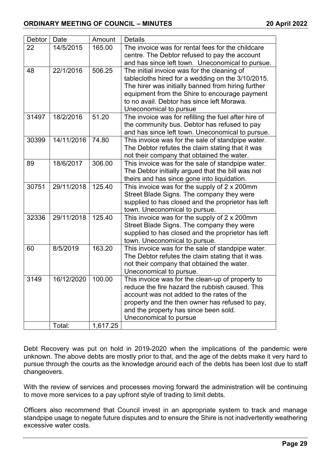| Debtor | Date       | Amount   | <b>Details</b>                                                                                   |
|--------|------------|----------|--------------------------------------------------------------------------------------------------|
| 22     | 14/5/2015  | 165.00   | The invoice was for rental fees for the childcare                                                |
|        |            |          | centre. The Debtor refused to pay the account                                                    |
|        |            |          | and has since left town. Uneconomical to pursue.                                                 |
| 48     | 22/1/2016  | 506.25   | The initial invoice was for the cleaning of<br>tablecloths hired for a wedding on the 3/10/2015. |
|        |            |          | The hirer was initially banned from hiring further                                               |
|        |            |          | equipment from the Shire to encourage payment                                                    |
|        |            |          | to no avail. Debtor has since left Morawa.                                                       |
|        |            |          | Uneconomical to pursue                                                                           |
| 31497  | 18/2/2016  | 51.20    | The invoice was for refilling the fuel after hire of                                             |
|        |            |          | the community bus. Debtor has refused to pay                                                     |
|        |            |          | and has since left town. Uneconomical to pursue.                                                 |
| 30399  | 14/11/2016 | 74.80    | This invoice was for the sale of standpipe water.                                                |
|        |            |          | The Debtor refutes the claim stating that it was                                                 |
|        |            |          | not their company that obtained the water.                                                       |
| 89     | 18/6/2017  | 306.00   | This invoice was for the sale of standpipe water.                                                |
|        |            |          | The Debtor initially argued that the bill was not                                                |
|        |            |          | theirs and has since gone into liquidation.                                                      |
| 30751  | 29/11/2018 | 125.40   | This invoice was for the supply of 2 x 200mm                                                     |
|        |            |          | Street Blade Signs. The company they were                                                        |
|        |            |          | supplied to has closed and the proprietor has left                                               |
|        |            |          | town. Uneconomical to pursue.                                                                    |
| 32336  | 29/11/2018 | 125.40   | This invoice was for the supply of 2 x 200mm                                                     |
|        |            |          | Street Blade Signs. The company they were                                                        |
|        |            |          | supplied to has closed and the proprietor has left                                               |
|        |            |          | town. Uneconomical to pursue.                                                                    |
| 60     | 8/5/2019   | 163.20   | This invoice was for the sale of standpipe water.                                                |
|        |            |          | The Debtor refutes the claim stating that it was<br>not their company that obtained the water.   |
|        |            |          | Uneconomical to pursue.                                                                          |
| 3149   | 16/12/2020 | 100.00   | This invoice was for the clean-up of property to                                                 |
|        |            |          | reduce the fire hazard the rubbish caused. This                                                  |
|        |            |          | account was not added to the rates of the                                                        |
|        |            |          | property and the then owner has refused to pay,                                                  |
|        |            |          | and the property has since been sold.                                                            |
|        |            |          | Uneconomical to pursue                                                                           |
|        | Total:     | 1,617.25 |                                                                                                  |

Debt Recovery was put on hold in 2019-2020 when the implications of the pandemic were unknown. The above debts are mostly prior to that, and the age of the debts make it very hard to pursue through the courts as the knowledge around each of the debts has been lost due to staff changeovers.

With the review of services and processes moving forward the administration will be continuing to move more services to a pay upfront style of trading to limit debts.

Officers also recommend that Council invest in an appropriate system to track and manage standpipe usage to negate future disputes and to ensure the Shire is not inadvertently weathering excessive water costs.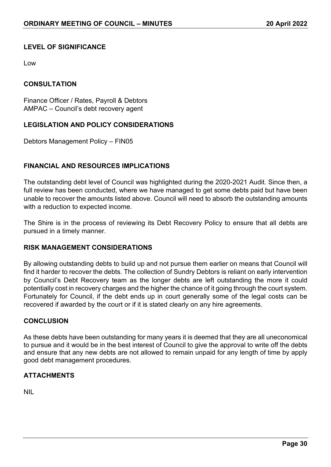## **LEVEL OF SIGNIFICANCE**

Low

#### **CONSULTATION**

Finance Officer / Rates, Payroll & Debtors AMPAC – Council's debt recovery agent

## **LEGISLATION AND POLICY CONSIDERATIONS**

Debtors Management Policy – FIN05

#### **FINANCIAL AND RESOURCES IMPLICATIONS**

The outstanding debt level of Council was highlighted during the 2020-2021 Audit. Since then, a full review has been conducted, where we have managed to get some debts paid but have been unable to recover the amounts listed above. Council will need to absorb the outstanding amounts with a reduction to expected income.

The Shire is in the process of reviewing its Debt Recovery Policy to ensure that all debts are pursued in a timely manner.

#### **RISK MANAGEMENT CONSIDERATIONS**

By allowing outstanding debts to build up and not pursue them earlier on means that Council will find it harder to recover the debts. The collection of Sundry Debtors is reliant on early intervention by Council's Debt Recovery team as the longer debts are left outstanding the more it could potentially cost in recovery charges and the higher the chance of it going through the court system. Fortunately for Council, if the debt ends up in court generally some of the legal costs can be recovered if awarded by the court or if it is stated clearly on any hire agreements.

#### **CONCLUSION**

As these debts have been outstanding for many years it is deemed that they are all uneconomical to pursue and it would be in the best interest of Council to give the approval to write off the debts and ensure that any new debts are not allowed to remain unpaid for any length of time by apply good debt management procedures.

#### **ATTACHMENTS**

NIL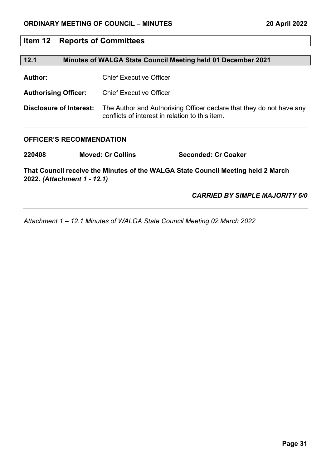## **Item 12 Reports of Committees**

#### **12.1 Minutes of WALGA State Council Meeting held 01 December 2021**

**Author:** Chief Executive Officer

**Authorising Officer:** Chief Executive Officer

**Disclosure of Interest:** The Author and Authorising Officer declare that they do not have any conflicts of interest in relation to this item.

#### **OFFICER'S RECOMMENDATION**

**220408 Moved: Cr Collins Seconded: Cr Coaker**

**That Council receive the Minutes of the WALGA State Council Meeting held 2 March 2022***. (Attachment 1 - 12.1)*

*CARRIED BY SIMPLE MAJORITY 6/0*

*Attachment 1 – 12.1 Minutes of WALGA State Council Meeting 02 March 2022*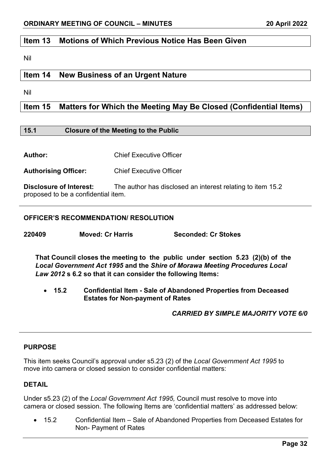## **Item 13 Motions of Which Previous Notice Has Been Given**

Nil

## **Item 14 New Business of an Urgent Nature**

Nil

## **Item 15 Matters for Which the Meeting May Be Closed (Confidential Items)**

#### **15.1 Closure of the Meeting to the Public**

**Author:** Chief Executive Officer

**Authorising Officer:** Chief Executive Officer

**Disclosure of Interest:** The author has disclosed an interest relating to item 15.2 proposed to be a confidential item.

#### **OFFICER'S RECOMMENDATION/ RESOLUTION**

**220409 Moved: Cr Harris Seconded: Cr Stokes**

**That Council closes the meeting to the public under section 5.23 (2)(b) of the**  *Local Government Act 1995* **and the** *Shire of Morawa Meeting Procedures Local Law 2012* **s 6.2 so that it can consider the following Items:**

• **15.2 Confidential Item - Sale of Abandoned Properties from Deceased Estates for Non-payment of Rates**

#### *CARRIED BY SIMPLE MAJORITY VOTE 6/0*

#### **PURPOSE**

This item seeks Council's approval under s5.23 (2) of the *Local Government Act 1995* to move into camera or closed session to consider confidential matters:

#### **DETAIL**

Under s5.23 (2) of the *Local Government Act 1995,* Council must resolve to move into camera or closed session. The following Items are 'confidential matters' as addressed below:

• 15.2 Confidential Item – Sale of Abandoned Properties from Deceased Estates for Non- Payment of Rates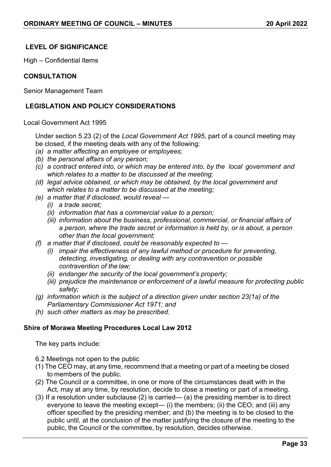## **LEVEL OF SIGNIFICANCE**

High – Confidential Items

#### **CONSULTATION**

Senior Management Team

## **LEGISLATION AND POLICY CONSIDERATIONS**

#### Local Government Act 1995

Under section 5.23 (2) of the *Local Government Act 1995*, part of a council meeting may be closed, if the meeting deals with any of the following:

- *(a) a matter affecting an employee or employees;*
- *(b) the personal affairs of any person;*
- *(c) a contract entered into, or which may be entered into, by the local government and which relates to a matter to be discussed at the meeting;*
- *(d) legal advice obtained, or which may be obtained, by the local government and which relates to a matter to be discussed at the meeting;*
- *(e) a matter that if disclosed, would reveal —*
	- *(i) a trade secret;*
	- *(ii) information that has a commercial value to a person;*
	- *(iii) information about the business, professional, commercial, or financial affairs of a person, where the trade secret or information is held by, or is about, a person other than the local government;*
- *(f) a matter that if disclosed, could be reasonably expected to —*
	- *(i) impair the effectiveness of any lawful method or procedure for preventing, detecting, investigating, or dealing with any contravention or possible contravention of the law;*
	- *(ii) endanger the security of the local government's property;*
	- *(iii) prejudice the maintenance or enforcement of a lawful measure for protecting public safety;*
- *(g) information which is the subject of a direction given under section 23(1a) of the Parliamentary Commissioner Act 1971; and*
- *(h) such other matters as may be prescribed.*

#### **Shire of Morawa Meeting Procedures Local Law 2012**

The key parts include:

6.2 Meetings not open to the public

- (1) The CEO may, at any time, recommend that a meeting or part of a meeting be closed to members of the public.
- (2) The Council or a committee, in one or more of the circumstances dealt with in the Act, may at any time, by resolution, decide to close a meeting or part of a meeting.
- (3) If a resolution under subclause (2) is carried— (a) the presiding member is to direct everyone to leave the meeting except— (i) the members; (ii) the CEO; and (iii) any officer specified by the presiding member; and (b) the meeting is to be closed to the public until, at the conclusion of the matter justifying the closure of the meeting to the public, the Council or the committee, by resolution, decides otherwise.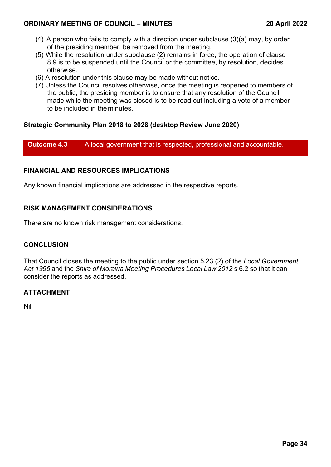- (4) A person who fails to comply with a direction under subclause (3)(a) may, by order of the presiding member, be removed from the meeting.
- (5) While the resolution under subclause (2) remains in force, the operation of clause 8.9 is to be suspended until the Council or the committee, by resolution, decides otherwise.
- (6) A resolution under this clause may be made without notice.
- (7) Unless the Council resolves otherwise, once the meeting is reopened to members of the public, the presiding member is to ensure that any resolution of the Council made while the meeting was closed is to be read out including a vote of a member to be included in the minutes.

#### **Strategic Community Plan 2018 to 2028 (desktop Review June 2020)**

**Outcome 4.3** A local government that is respected, professional and accountable.

#### **FINANCIAL AND RESOURCES IMPLICATIONS**

Any known financial implications are addressed in the respective reports.

## **RISK MANAGEMENT CONSIDERATIONS**

There are no known risk management considerations.

#### **CONCLUSION**

That Council closes the meeting to the public under section 5.23 (2) of the *Local Government Act 1995* and the *Shire of Morawa Meeting Procedures Local Law 2012* s 6.2 so that it can consider the reports as addressed.

#### **ATTACHMENT**

Nil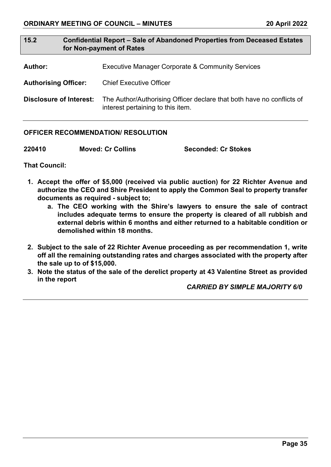## **15.2 Confidential Report – Sale of Abandoned Properties from Deceased Estates for Non-payment of Rates**

- **Author:** Executive Manager Corporate & Community Services
- **Authorising Officer:** Chief Executive Officer

**Disclosure of Interest:** The Author/Authorising Officer declare that both have no conflicts of interest pertaining to this item.

#### **OFFICER RECOMMENDATION/ RESOLUTION**

| 220410<br><b>Moved: Cr Collins</b> | <b>Seconded: Cr Stokes</b> |
|------------------------------------|----------------------------|
|------------------------------------|----------------------------|

**That Council:**

- **1. Accept the offer of \$5,000 (received via public auction) for 22 Richter Avenue and authorize the CEO and Shire President to apply the Common Seal to property transfer documents as required - subject to;**
	- **a. The CEO working with the Shire's lawyers to ensure the sale of contract includes adequate terms to ensure the property is cleared of all rubbish and external debris within 6 months and either returned to a habitable condition or demolished within 18 months.**
- **2. Subject to the sale of 22 Richter Avenue proceeding as per recommendation 1, write off all the remaining outstanding rates and charges associated with the property after the sale up to of \$15,000.**
- **3. Note the status of the sale of the derelict property at 43 Valentine Street as provided in the report**

 *CARRIED BY SIMPLE MAJORITY 6/0*